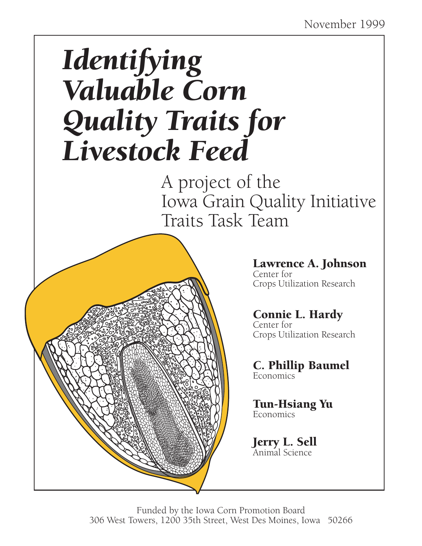# *Identifying Valuable Corn Quality Traits for Livestock Feed*

A project of the Iowa Grain Quality Initiative Traits Task Team

# Lawrence A. Johnson

Center for Crops Utilization Research

# Connie L. Hardy Center for

Crops Utilization Research

C. Phillip Baumel Economics

Tun-Hsiang Yu Economics

Jerry L. Sell Animal Science

Funded by the Iowa Corn Promotion Board 306 West Towers, 1200 35th Street, West Des Moines, Iowa 50266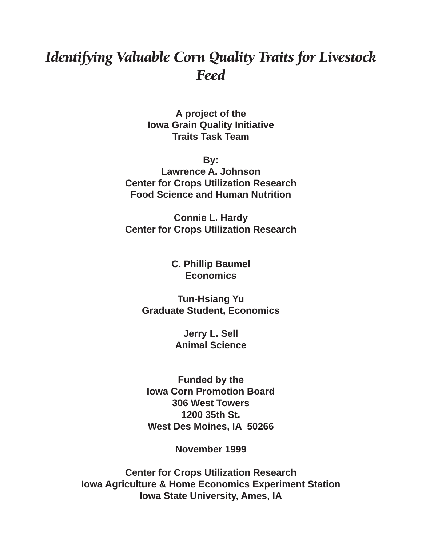# *Identifying Valuable Corn Quality Traits for Livestock Feed*

**A project of the Iowa Grain Quality Initiative Traits Task Team**

**By:**

**Lawrence A. Johnson Center for Crops Utilization Research Food Science and Human Nutrition**

**Connie L. Hardy Center for Crops Utilization Research**

> **C. Phillip Baumel Economics**

**Tun-Hsiang Yu Graduate Student, Economics**

> **Jerry L. Sell Animal Science**

**Funded by the Iowa Corn Promotion Board 306 West Towers 1200 35th St. West Des Moines, IA 50266**

**November 1999**

**Center for Crops Utilization Research Iowa Agriculture & Home Economics Experiment Station Iowa State University, Ames, IA**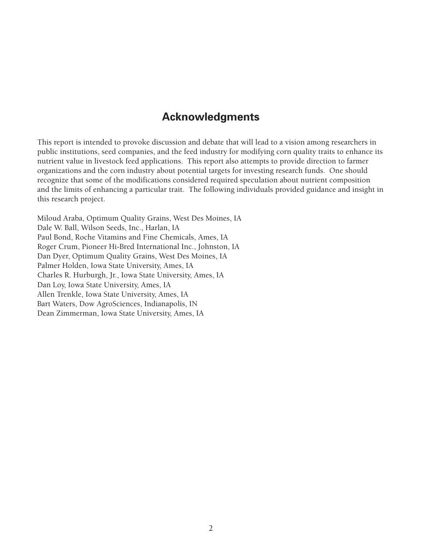# **Acknowledgments**

This report is intended to provoke discussion and debate that will lead to a vision among researchers in public institutions, seed companies, and the feed industry for modifying corn quality traits to enhance its nutrient value in livestock feed applications. This report also attempts to provide direction to farmer organizations and the corn industry about potential targets for investing research funds. One should recognize that some of the modifications considered required speculation about nutrient composition and the limits of enhancing a particular trait. The following individuals provided guidance and insight in this research project.

Miloud Araba, Optimum Quality Grains, West Des Moines, IA Dale W. Ball, Wilson Seeds, Inc., Harlan, IA Paul Bond, Roche Vitamins and Fine Chemicals, Ames, IA Roger Crum, Pioneer Hi-Bred International Inc., Johnston, IA Dan Dyer, Optimum Quality Grains, West Des Moines, IA Palmer Holden, Iowa State University, Ames, IA Charles R. Hurburgh, Jr., Iowa State University, Ames, IA Dan Loy, Iowa State University, Ames, IA Allen Trenkle, Iowa State University, Ames, IA Bart Waters, Dow AgroSciences, Indianapolis, IN Dean Zimmerman, Iowa State University, Ames, IA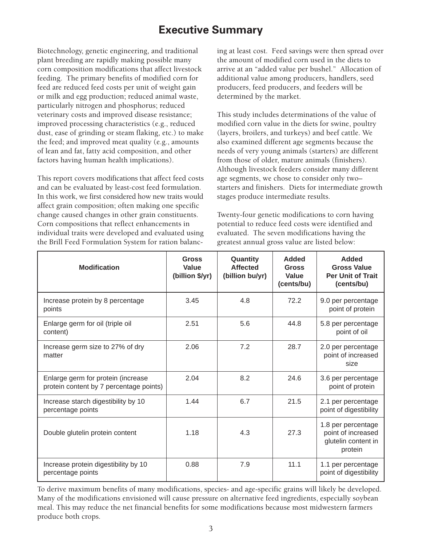# **Executive Summary**

Biotechnology, genetic engineering, and traditional plant breeding are rapidly making possible many corn composition modifications that affect livestock feeding. The primary benefits of modified corn for feed are reduced feed costs per unit of weight gain or milk and egg production; reduced animal waste, particularly nitrogen and phosphorus; reduced veterinary costs and improved disease resistance; improved processing characteristics (e.g., reduced dust, ease of grinding or steam flaking, etc.) to make the feed; and improved meat quality (e.g., amounts of lean and fat, fatty acid composition, and other factors having human health implications).

This report covers modifications that affect feed costs and can be evaluated by least-cost feed formulation. In this work, we first considered how new traits would affect grain composition; often making one specific change caused changes in other grain constituents. Corn compositions that reflect enhancements in individual traits were developed and evaluated using the Brill Feed Formulation System for ration balancing at least cost. Feed savings were then spread over the amount of modified corn used in the diets to arrive at an "added value per bushel." Allocation of additional value among producers, handlers, seed producers, feed producers, and feeders will be determined by the market.

This study includes determinations of the value of modified corn value in the diets for swine, poultry (layers, broilers, and turkeys) and beef cattle. We also examined different age segments because the needs of very young animals (starters) are different from those of older, mature animals (finishers). Although livestock feeders consider many different age segments, we chose to consider only two– starters and finishers. Diets for intermediate growth stages produce intermediate results.

Twenty-four genetic modifications to corn having potential to reduce feed costs were identified and evaluated. The seven modifications having the greatest annual gross value are listed below:

| <b>Modification</b>                                                           | Gross<br>Value<br>(billion \$/yr) | Quantity<br><b>Affected</b><br>(billion bu/yr) | <b>Added</b><br>Gross<br>Value<br>(cents/bu) | <b>Added</b><br><b>Gross Value</b><br><b>Per Unit of Trait</b><br>(cents/bu) |
|-------------------------------------------------------------------------------|-----------------------------------|------------------------------------------------|----------------------------------------------|------------------------------------------------------------------------------|
| Increase protein by 8 percentage<br>points                                    | 3.45                              | 4.8                                            | 72.2                                         | 9.0 per percentage<br>point of protein                                       |
| Enlarge germ for oil (triple oil<br>content)                                  | 2.51                              | 5.6                                            | 44.8                                         | 5.8 per percentage<br>point of oil                                           |
| Increase germ size to 27% of dry<br>matter                                    | 2.06                              | 7.2                                            | 28.7                                         | 2.0 per percentage<br>point of increased<br>size                             |
| Enlarge germ for protein (increase<br>protein content by 7 percentage points) | 2.04                              | 8.2                                            | 24.6                                         | 3.6 per percentage<br>point of protein                                       |
| Increase starch digestibility by 10<br>percentage points                      | 1.44                              | 6.7                                            | 21.5                                         | 2.1 per percentage<br>point of digestibility                                 |
| Double glutelin protein content                                               | 1.18                              | 4.3                                            | 27.3                                         | 1.8 per percentage<br>point of increased<br>glutelin content in<br>protein   |
| Increase protein digestibility by 10<br>percentage points                     | 0.88                              | 7.9                                            | 11.1                                         | 1.1 per percentage<br>point of digestibility                                 |

To derive maximum benefits of many modifications, species- and age-specific grains will likely be developed. Many of the modifications envisioned will cause pressure on alternative feed ingredients, especially soybean meal. This may reduce the net financial benefits for some modifications because most midwestern farmers produce both crops.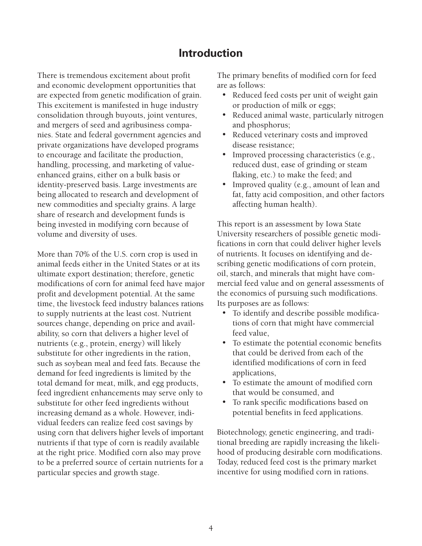# **Introduction**

There is tremendous excitement about profit and economic development opportunities that are expected from genetic modification of grain. This excitement is manifested in huge industry consolidation through buyouts, joint ventures, and mergers of seed and agribusiness companies. State and federal government agencies and private organizations have developed programs to encourage and facilitate the production, handling, processing, and marketing of valueenhanced grains, either on a bulk basis or identity-preserved basis. Large investments are being allocated to research and development of new commodities and specialty grains. A large share of research and development funds is being invested in modifying corn because of volume and diversity of uses.

More than 70% of the U.S. corn crop is used in animal feeds either in the United States or at its ultimate export destination; therefore, genetic modifications of corn for animal feed have major profit and development potential. At the same time, the livestock feed industry balances rations to supply nutrients at the least cost. Nutrient sources change, depending on price and availability, so corn that delivers a higher level of nutrients (e.g., protein, energy) will likely substitute for other ingredients in the ration, such as soybean meal and feed fats. Because the demand for feed ingredients is limited by the total demand for meat, milk, and egg products, feed ingredient enhancements may serve only to substitute for other feed ingredients without increasing demand as a whole. However, individual feeders can realize feed cost savings by using corn that delivers higher levels of important nutrients if that type of corn is readily available at the right price. Modified corn also may prove to be a preferred source of certain nutrients for a particular species and growth stage.

The primary benefits of modified corn for feed are as follows:

- Reduced feed costs per unit of weight gain or production of milk or eggs;
- Reduced animal waste, particularly nitrogen and phosphorus;
- Reduced veterinary costs and improved disease resistance;
- Improved processing characteristics (e.g., reduced dust, ease of grinding or steam flaking, etc.) to make the feed; and
- Improved quality (e.g., amount of lean and fat, fatty acid composition, and other factors affecting human health).

This report is an assessment by Iowa State University researchers of possible genetic modifications in corn that could deliver higher levels of nutrients. It focuses on identifying and describing genetic modifications of corn protein, oil, starch, and minerals that might have commercial feed value and on general assessments of the economics of pursuing such modifications. Its purposes are as follows:

- To identify and describe possible modifications of corn that might have commercial feed value,
- To estimate the potential economic benefits that could be derived from each of the identified modifications of corn in feed applications,
- To estimate the amount of modified corn that would be consumed, and
- To rank specific modifications based on potential benefits in feed applications.

Biotechnology, genetic engineering, and traditional breeding are rapidly increasing the likelihood of producing desirable corn modifications. Today, reduced feed cost is the primary market incentive for using modified corn in rations.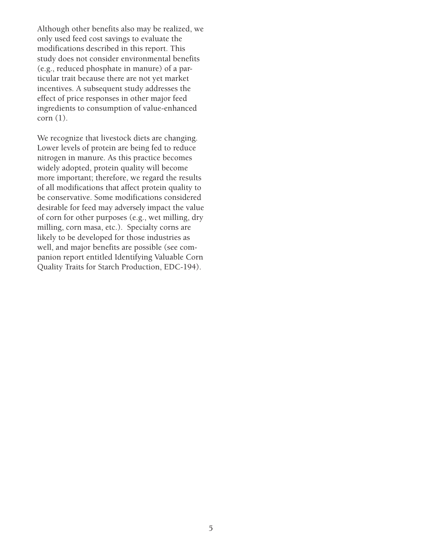Although other benefits also may be realized, we only used feed cost savings to evaluate the modifications described in this report. This study does not consider environmental benefits (e.g., reduced phosphate in manure) of a particular trait because there are not yet market incentives. A subsequent study addresses the effect of price responses in other major feed ingredients to consumption of value-enhanced corn (1).

We recognize that livestock diets are changing. Lower levels of protein are being fed to reduce nitrogen in manure. As this practice becomes widely adopted, protein quality will become more important; therefore, we regard the results of all modifications that affect protein quality to be conservative. Some modifications considered desirable for feed may adversely impact the value of corn for other purposes (e.g., wet milling, dry milling, corn masa, etc.). Specialty corns are likely to be developed for those industries as well, and major benefits are possible (see companion report entitled Identifying Valuable Corn Quality Traits for Starch Production, EDC-194).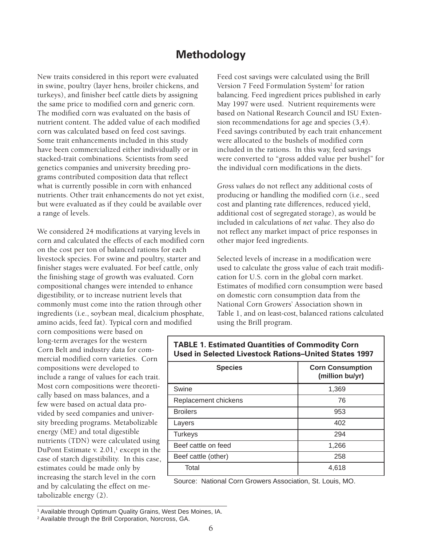## **Methodology**

New traits considered in this report were evaluated in swine, poultry (layer hens, broiler chickens, and turkeys), and finisher beef cattle diets by assigning the same price to modified corn and generic corn. The modified corn was evaluated on the basis of nutrient content. The added value of each modified corn was calculated based on feed cost savings. Some trait enhancements included in this study have been commercialized either individually or in stacked-trait combinations. Scientists from seed genetics companies and university breeding programs contributed composition data that reflect what is currently possible in corn with enhanced nutrients. Other trait enhancements do not yet exist, but were evaluated as if they could be available over a range of levels.

We considered 24 modifications at varying levels in corn and calculated the effects of each modified corn on the cost per ton of balanced rations for each livestock species. For swine and poultry, starter and finisher stages were evaluated. For beef cattle, only the finishing stage of growth was evaluated. Corn compositional changes were intended to enhance digestibility, or to increase nutrient levels that commonly must come into the ration through other ingredients (i.e., soybean meal, dicalcium phosphate, amino acids, feed fat). Typical corn and modified

corn compositions were based on long-term averages for the western Corn Belt and industry data for commercial modified corn varieties. Corn compositions were developed to include a range of values for each trait. Most corn compositions were theoretically based on mass balances, and a few were based on actual data provided by seed companies and university breeding programs. Metabolizable energy (ME) and total digestible nutrients (TDN) were calculated using DuPont Estimate v.  $2.01$ ,<sup>1</sup> except in the case of starch digestibility. In this case, estimates could be made only by increasing the starch level in the corn and by calculating the effect on metabolizable energy (2).

Feed cost savings were calculated using the Brill Version 7 Feed Formulation System<sup>2</sup> for ration balancing. Feed ingredient prices published in early May 1997 were used. Nutrient requirements were based on National Research Council and ISU Extension recommendations for age and species (3,4). Feed savings contributed by each trait enhancement were allocated to the bushels of modified corn included in the rations. In this way, feed savings were converted to "gross added value per bushel" for the individual corn modifications in the diets.

*Gross values* do not reflect any additional costs of producing or handling the modified corn (i.e., seed cost and planting rate differences, reduced yield, additional cost of segregated storage), as would be included in calculations of *net value*. They also do not reflect any market impact of price responses in other major feed ingredients.

Selected levels of increase in a modification were used to calculate the gross value of each trait modification for U.S. corn in the global corn market. Estimates of modified corn consumption were based on domestic corn consumption data from the National Corn Growers' Association shown in Table 1, and on least-cost, balanced rations calculated using the Brill program.

| <b>Species</b>       | <b>Corn Consumption</b><br>(million bu/yr) |
|----------------------|--------------------------------------------|
| Swine                | 1,369                                      |
| Replacement chickens | 76                                         |
| <b>Broilers</b>      | 953                                        |
| Layers               | 402                                        |
| <b>Turkeys</b>       | 294                                        |
| Beef cattle on feed  | 1,266                                      |
| Beef cattle (other)  | 258                                        |
| Total                | 4,618                                      |

#### **TABLE 1. Estimated Quantities of Commodity Corn Used in Selected Livestock Rations–United States 1997**

Source: National Corn Growers Association, St. Louis, MO.

<sup>1</sup> Available through Optimum Quality Grains, West Des Moines, IA.

<sup>2</sup> Available through the Brill Corporation, Norcross, GA.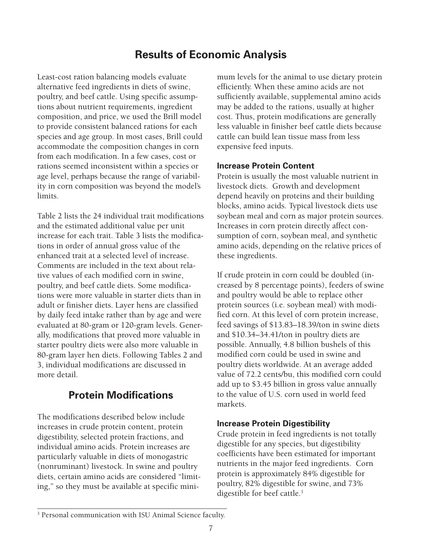# **Results of Economic Analysis**

Least-cost ration balancing models evaluate alternative feed ingredients in diets of swine, poultry, and beef cattle. Using specific assumptions about nutrient requirements, ingredient composition, and price, we used the Brill model to provide consistent balanced rations for each species and age group. In most cases, Brill could accommodate the composition changes in corn from each modification. In a few cases, cost or rations seemed inconsistent within a species or age level, perhaps because the range of variability in corn composition was beyond the model's limits.

Table 2 lists the 24 individual trait modifications and the estimated additional value per unit increase for each trait. Table 3 lists the modifications in order of annual gross value of the enhanced trait at a selected level of increase. Comments are included in the text about relative values of each modified corn in swine, poultry, and beef cattle diets. Some modifications were more valuable in starter diets than in adult or finisher diets. Layer hens are classified by daily feed intake rather than by age and were evaluated at 80-gram or 120-gram levels. Generally, modifications that proved more valuable in starter poultry diets were also more valuable in 80-gram layer hen diets. Following Tables 2 and 3, individual modifications are discussed in more detail.

# **Protein Modifications**

The modifications described below include increases in crude protein content, protein digestibility, selected protein fractions, and individual amino acids. Protein increases are particularly valuable in diets of monogastric (nonruminant) livestock. In swine and poultry diets, certain amino acids are considered "limiting," so they must be available at specific minimum levels for the animal to use dietary protein efficiently. When these amino acids are not sufficiently available, supplemental amino acids may be added to the rations, usually at higher cost. Thus, protein modifications are generally less valuable in finisher beef cattle diets because cattle can build lean tissue mass from less expensive feed inputs.

#### **Increase Protein Content**

Protein is usually the most valuable nutrient in livestock diets. Growth and development depend heavily on proteins and their building blocks, amino acids. Typical livestock diets use soybean meal and corn as major protein sources. Increases in corn protein directly affect consumption of corn, soybean meal, and synthetic amino acids, depending on the relative prices of these ingredients.

If crude protein in corn could be doubled (increased by 8 percentage points), feeders of swine and poultry would be able to replace other protein sources (i.e. soybean meal) with modified corn. At this level of corn protein increase, feed savings of \$13.83–18.39/ton in swine diets and \$10.34–34.41/ton in poultry diets are possible. Annually, 4.8 billion bushels of this modified corn could be used in swine and poultry diets worldwide. At an average added value of 72.2 cents/bu, this modified corn could add up to \$3.45 billion in gross value annually to the value of U.S. corn used in world feed markets.

#### **Increase Protein Digestibility**

Crude protein in feed ingredients is not totally digestible for any species, but digestibility coefficients have been estimated for important nutrients in the major feed ingredients. Corn protein is approximately 84% digestible for poultry, 82% digestible for swine, and 73% digestible for beef cattle.<sup>3</sup>

<sup>&</sup>lt;sup>3</sup> Personal communication with ISU Animal Science faculty.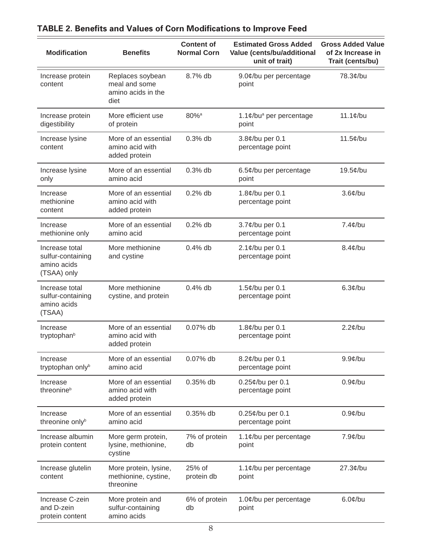| <b>Modification</b>                                               | <b>Benefits</b>                                                 | <b>Content of</b><br><b>Normal Corn</b> | <b>Estimated Gross Added</b><br>Value (cents/bu/additional<br>unit of trait) | <b>Gross Added Value</b><br>of 2x Increase in<br>Trait (cents/bu) |
|-------------------------------------------------------------------|-----------------------------------------------------------------|-----------------------------------------|------------------------------------------------------------------------------|-------------------------------------------------------------------|
| Increase protein<br>content                                       | Replaces soybean<br>meal and some<br>amino acids in the<br>diet | 8.7% db                                 | 9.0¢/bu per percentage<br>point                                              | 78.3¢/bu                                                          |
| Increase protein<br>digestibility                                 | More efficient use<br>of protein                                | $80\%$ <sup>a</sup>                     | 1.1¢/bu <sup>a</sup> per percentage<br>point                                 | $11.1¢$ /bu                                                       |
| Increase lysine<br>content                                        | More of an essential<br>amino acid with<br>added protein        | $0.3%$ db                               | 3.8¢/bu per 0.1<br>percentage point                                          | $11.5¢$ /bu                                                       |
| Increase lysine<br>only                                           | More of an essential<br>amino acid                              | $0.3%$ db                               | 6.5¢/bu per percentage<br>point                                              | 19.5¢/bu                                                          |
| Increase<br>methionine<br>content                                 | More of an essential<br>amino acid with<br>added protein        | $0.2%$ db                               | 1.8¢/bu per 0.1<br>percentage point                                          | $3.6$ ¢/bu                                                        |
| Increase<br>methionine only                                       | More of an essential<br>amino acid                              | $0.2%$ db                               | 3.7¢/bu per 0.1<br>percentage point                                          | $7.4$ ¢/bu                                                        |
| Increase total<br>sulfur-containing<br>amino acids<br>(TSAA) only | More methionine<br>and cystine                                  | $0.4%$ db                               | 2.1¢/bu per 0.1<br>percentage point                                          | $8.4$ ¢/bu                                                        |
| Increase total<br>sulfur-containing<br>amino acids<br>(TSAA)      | More methionine<br>cystine, and protein                         | $0.4%$ db                               | 1.5¢/bu per 0.1<br>percentage point                                          | $6.3¢$ /bu                                                        |
| Increase<br>tryptophan <sup>b</sup>                               | More of an essential<br>amino acid with<br>added protein        | 0.07% db                                | 1.8¢/bu per 0.1<br>percentage point                                          | $2.2$ ¢/bu                                                        |
| Increase<br>tryptophan onlyb                                      | More of an essential<br>amino acid                              | 0.07% db                                | 8.2¢/bu per 0.1<br>percentage point                                          | $9.9$ ¢/bu                                                        |
| Increase<br>threonine <sup>b</sup>                                | More of an essential<br>amino acid with<br>added protein        | 0.35% db                                | $0.25$ ¢/bu per 0.1<br>percentage point                                      | $0.9$ ¢/bu                                                        |
| Increase<br>threonine onlyb                                       | More of an essential<br>amino acid                              | 0.35% db                                | 0.25¢/bu per 0.1<br>percentage point                                         | $0.9$ ¢/bu                                                        |
| Increase albumin<br>protein content                               | More germ protein,<br>lysine, methionine,<br>cystine            | 7% of protein<br>db                     | 1.1¢/bu per percentage<br>point                                              | $7.9¢$ /bu                                                        |
| Increase glutelin<br>content                                      | More protein, lysine,<br>methionine, cystine,<br>threonine      | 25% of<br>protein db                    | 1.1¢/bu per percentage<br>point                                              | $27.3¢$ /bu                                                       |
| Increase C-zein<br>and D-zein<br>protein content                  | More protein and<br>sulfur-containing<br>amino acids            | 6% of protein<br>db                     | 1.0¢/bu per percentage<br>point                                              | $6.0$ ¢/bu                                                        |

# **TABLE 2. Benefits and Values of Corn Modifications to Improve Feed**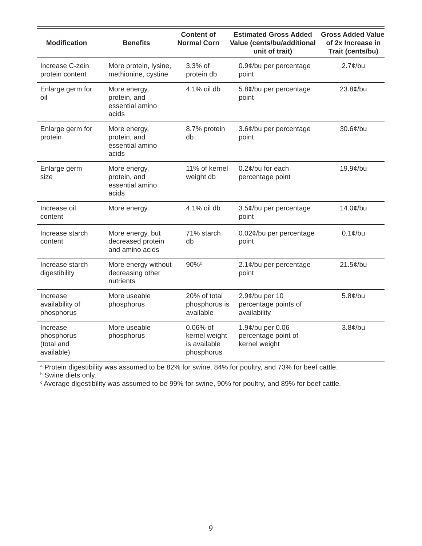| <b>Modification</b>                                | <b>Benefits</b>                                          | <b>Content of</b><br><b>Normal Corn</b>                 | <b>Estimated Gross Added</b><br>Value (cents/bu/additional<br>unit of trait) | <b>Gross Added Value</b><br>of 2x Increase in<br>Trait (cents/bu) |
|----------------------------------------------------|----------------------------------------------------------|---------------------------------------------------------|------------------------------------------------------------------------------|-------------------------------------------------------------------|
| Increase C-zein<br>protein content                 | More protein, lysine,<br>methionine, cystine             | 3.3% of<br>protein db                                   | 0.9¢/bu per percentage<br>point                                              | $2.7$ ¢/bu                                                        |
| Enlarge germ for<br>oil                            | More energy,<br>protein, and<br>essential amino<br>acids | 4.1% oil db                                             | 5.8¢/bu per percentage<br>point                                              | $23.8$ ¢/bu                                                       |
| Enlarge germ for<br>protein                        | More energy,<br>protein, and<br>essential amino<br>acids | 8.7% protein<br>db                                      | 3.6¢/bu per percentage<br>point                                              | $30.6$ ¢/bu                                                       |
| Enlarge germ<br>size                               | More energy,<br>protein, and<br>essential amino<br>acids | 11% of kernel<br>weight db                              | 0.2¢/bu for each<br>percentage point                                         | 19.9¢/bu                                                          |
| Increase oil<br>content                            | More energy                                              | 4.1% oil db                                             | 3.5¢/bu per percentage<br>point                                              | $14.0$ ¢/bu                                                       |
| Increase starch<br>content                         | More energy, but<br>decreased protein<br>and amino acids | 71% starch<br>db                                        | 0.02¢/bu per percentage<br>point                                             | $0.1$ ¢/bu                                                        |
| Increase starch<br>digestibility                   | More energy without<br>decreasing other<br>nutrients     | 90%c                                                    | 2.1¢/bu per percentage<br>point                                              | $21.5$ ¢/bu                                                       |
| Increase<br>availability of<br>phosphorus          | More useable<br>phosphorus                               | 20% of total<br>phosphorus is<br>available              | 2.9¢/bu per 10<br>percentage points of<br>availability                       | $5.8¢$ /bu                                                        |
| Increase<br>phosphorus<br>(total and<br>available) | More useable<br>phosphorus                               | 0.06% of<br>kernel weight<br>is available<br>phosphorus | 1.9¢/bu per 0.06<br>percentage point of<br>kernel weight                     | $3.8¢$ /bu                                                        |

ª Protein digestibility was assumed to be 82% for swine, 84% for poultry, and 73% for beef cattle.<br><sup>b</sup> Swine diets only.<br><sup>c</sup> Average digestibility was assumed to be 99% for swine, 90% for poultry, and 89% for beef cattle.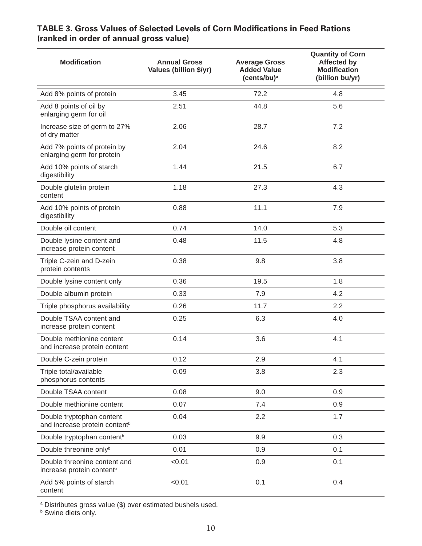| <b>Modification</b>                                                    | <b>Annual Gross</b><br>Values (billion \$/yr) | <b>Average Gross</b><br><b>Added Value</b><br>$(cents/bu)^a$ | <b>Quantity of Corn</b><br><b>Affected by</b><br><b>Modification</b><br>(billion bu/yr) |
|------------------------------------------------------------------------|-----------------------------------------------|--------------------------------------------------------------|-----------------------------------------------------------------------------------------|
| Add 8% points of protein                                               | 3.45                                          | 72.2                                                         | 4.8                                                                                     |
| Add 8 points of oil by<br>enlarging germ for oil                       | 2.51                                          | 44.8                                                         | 5.6                                                                                     |
| Increase size of germ to 27%<br>of dry matter                          | 2.06                                          | 28.7                                                         | 7.2                                                                                     |
| Add 7% points of protein by<br>enlarging germ for protein              | 2.04                                          | 24.6                                                         | 8.2                                                                                     |
| Add 10% points of starch<br>digestibility                              | 1.44                                          | 21.5                                                         | 6.7                                                                                     |
| Double glutelin protein<br>content                                     | 1.18                                          | 27.3                                                         | 4.3                                                                                     |
| Add 10% points of protein<br>digestibility                             | 0.88                                          | 11.1                                                         | 7.9                                                                                     |
| Double oil content                                                     | 0.74                                          | 14.0                                                         | 5.3                                                                                     |
| Double lysine content and<br>increase protein content                  | 0.48                                          | 11.5                                                         | 4.8                                                                                     |
| Triple C-zein and D-zein<br>protein contents                           | 0.38                                          | 9.8                                                          | 3.8                                                                                     |
| Double lysine content only                                             | 0.36                                          | 19.5                                                         | 1.8                                                                                     |
| Double albumin protein                                                 | 0.33                                          | 7.9                                                          | 4.2                                                                                     |
| Triple phosphorus availability                                         | 0.26                                          | 11.7                                                         | 2.2                                                                                     |
| Double TSAA content and<br>increase protein content                    | 0.25                                          | 6.3                                                          | 4.0                                                                                     |
| Double methionine content<br>and increase protein content              | 0.14                                          | 3.6                                                          | 4.1                                                                                     |
| Double C-zein protein                                                  | 0.12                                          | 2.9                                                          | 4.1                                                                                     |
| Triple total/available<br>phosphorus contents                          | 0.09                                          | 3.8                                                          | 2.3                                                                                     |
| Double TSAA content                                                    | 0.08                                          | 9.0                                                          | 0.9                                                                                     |
| Double methionine content                                              | 0.07                                          | 7.4                                                          | 0.9                                                                                     |
| Double tryptophan content<br>and increase protein content <sup>b</sup> | 0.04                                          | 2.2                                                          | 1.7                                                                                     |
| Double tryptophan content <sup>b</sup>                                 | 0.03                                          | 9.9                                                          | 0.3                                                                                     |
| Double threonine onlyb                                                 | 0.01                                          | 0.9                                                          | 0.1                                                                                     |
| Double threonine content and<br>increase protein content <sup>b</sup>  | < 0.01                                        | 0.9                                                          | 0.1                                                                                     |
| Add 5% points of starch<br>content                                     | < 0.01                                        | 0.1                                                          | 0.4                                                                                     |

#### **TABLE 3. Gross Values of Selected Levels of Corn Modifications in Feed Rations (ranked in order of annual gross value)**

<sup>a</sup> Distributes gross value (\$) over estimated bushels used.<br><sup>b</sup> Swine diets only.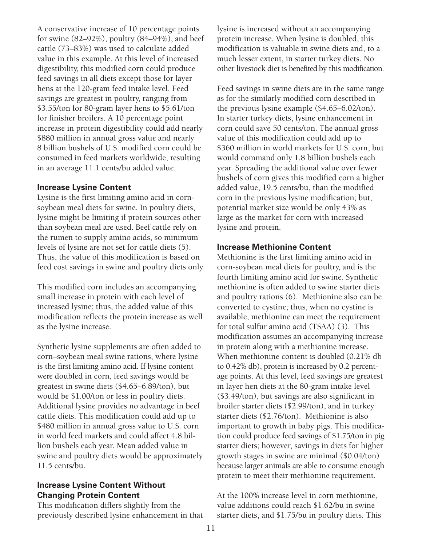A conservative increase of 10 percentage points for swine (82–92%), poultry (84–94%), and beef cattle (73–83%) was used to calculate added value in this example. At this level of increased digestibility, this modified corn could produce feed savings in all diets except those for layer hens at the 120-gram feed intake level. Feed savings are greatest in poultry, ranging from \$3.55/ton for 80-gram layer hens to \$5.61/ton for finisher broilers. A 10 percentage point increase in protein digestibility could add nearly \$880 million in annual gross value and nearly 8␣ billion bushels of U.S. modified corn could be consumed in feed markets worldwide, resulting in an average 11.1 cents/bu added value.

#### **Increase Lysine Content**

Lysine is the first limiting amino acid in cornsoybean meal diets for swine. In poultry diets, lysine might be limiting if protein sources other than soybean meal are used. Beef cattle rely on the rumen to supply amino acids, so minimum levels of lysine are not set for cattle diets (5). Thus, the value of this modification is based on feed cost savings in swine and poultry diets only.

This modified corn includes an accompanying small increase in protein with each level of increased lysine; thus, the added value of this modification reflects the protein increase as well as the lysine increase.

Synthetic lysine supplements are often added to corn–soybean meal swine rations, where lysine is the first limiting amino acid. If lysine content were doubled in corn, feed savings would be greatest in swine diets (\$4.65–6.89/ton), but would be \$1.00/ton or less in poultry diets. Additional lysine provides no advantage in beef cattle diets. This modification could add up to \$480 million in annual gross value to U.S. corn in world feed markets and could affect 4.8␣ billion bushels each year. Mean added value in swine and poultry diets would be approximately 11.5 cents/bu.

#### **Increase Lysine Content Without Changing Protein Content**

This modification differs slightly from the previously described lysine enhancement in that lysine is increased without an accompanying protein increase. When lysine is doubled, this modification is valuable in swine diets and, to a much lesser extent, in starter turkey diets. No other livestock diet is benefited by this modification.

Feed savings in swine diets are in the same range as for the similarly modified corn described in the previous lysine example (\$4.65–6.02/ton). In starter turkey diets, lysine enhancement in corn could save 50 cents/ton. The annual gross value of this modification could add up to \$360 million in world markets for U.S. corn, but would command only 1.8 billion bushels each year. Spreading the additional value over fewer bushels of corn gives this modified corn a higher added value, 19.5 cents/bu, than the modified corn in the previous lysine modification; but, potential market size would be only 43% as large as the market for corn with increased lysine and protein.

#### **Increase Methionine Content**

Methionine is the first limiting amino acid in corn-soybean meal diets for poultry, and is the fourth limiting amino acid for swine. Synthetic methionine is often added to swine starter diets and poultry rations (6). Methionine also can be converted to cystine; thus, when no cystine is available, methionine can meet the requirement for total sulfur amino acid (TSAA) (3). This modification assumes an accompanying increase in protein along with a methionine increase. When methionine content is doubled (0.21% db) to 0.42% db), protein is increased by 0.2 percentage points. At this level, feed savings are greatest in layer hen diets at the 80-gram intake level (\$3.49/ton), but savings are also significant in broiler starter diets (\$2.99/ton), and in turkey starter diets (\$2.76/ton). Methionine is also important to growth in baby pigs. This modification could produce feed savings of \$1.75/ton in pig starter diets; however, savings in diets for higher growth stages in swine are minimal (\$0.04/ton) because larger animals are able to consume enough protein to meet their methionine requirement.

At the 100% increase level in corn methionine, value additions could reach \$1.62/bu in swine starter diets, and \$1.75/bu in poultry diets. This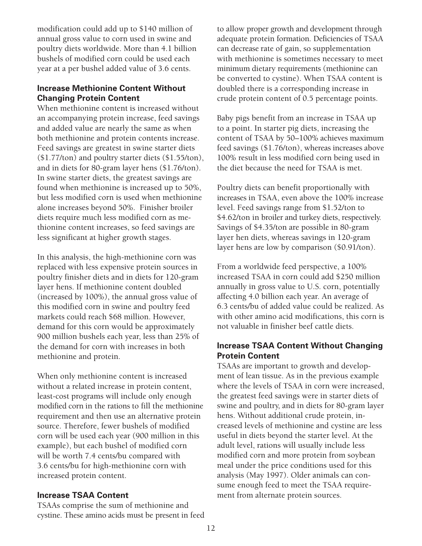modification could add up to \$140 million of annual gross value to corn used in swine and poultry diets worldwide. More than 4.1␣ billion bushels of modified corn could be used each year at a per bushel added value of 3.6 cents.

#### **Increase Methionine Content Without Changing Protein Content**

When methionine content is increased without an accompanying protein increase, feed savings and added value are nearly the same as when both methionine and protein contents increase. Feed savings are greatest in swine starter diets (\$1.77/ton) and poultry starter diets (\$1.55/ton), and in diets for 80-gram layer hens (\$1.76/ton). In swine starter diets, the greatest savings are found when methionine is increased up to 50%, but less modified corn is used when methionine alone increases beyond 50%. Finisher broiler diets require much less modified corn as methionine content increases, so feed savings are less significant at higher growth stages.

In this analysis, the high-methionine corn was replaced with less expensive protein sources in poultry finisher diets and in diets for 120-gram layer hens. If methionine content doubled (increased by 100%), the annual gross value of this modified corn in swine and poultry feed markets could reach \$68 million. However, demand for this corn would be approximately 900␣ million bushels each year, less than 25% of the demand for corn with increases in both methionine and protein.

When only methionine content is increased without a related increase in protein content, least-cost programs will include only enough modified corn in the rations to fill the methionine requirement and then use an alternative protein source. Therefore, fewer bushels of modified corn will be used each year (900␣ million in this example), but each bushel of modified corn will be worth 7.4 cents/bu compared with 3.6␣ cents/bu for high-methionine corn with increased protein content.

#### **Increase TSAA Content**

TSAAs comprise the sum of methionine and cystine. These amino acids must be present in feed to allow proper growth and development through adequate protein formation. Deficiencies of TSAA can decrease rate of gain, so supplementation with methionine is sometimes necessary to meet minimum dietary requirements (methionine can be converted to cystine). When TSAA content is doubled there is a corresponding increase in crude protein content of 0.5 percentage points.

Baby pigs benefit from an increase in TSAA up to a point. In starter pig diets, increasing the content of TSAA by 50–100% achieves maximum feed savings (\$1.76/ton), whereas increases above 100% result in less modified corn being used in the diet because the need for TSAA is met.

Poultry diets can benefit proportionally with increases in TSAA, even above the 100% increase level. Feed savings range from \$1.52/ton to \$4.62/ton in broiler and turkey diets, respectively. Savings of \$4.35/ton are possible in 80-gram layer hen diets, whereas savings in 120-gram layer hens are low by comparison (\$0.91/ton).

From a worldwide feed perspective, a 100% increased TSAA in corn could add \$250␣ million annually in gross value to U.S. corn, potentially affecting 4.0␣ billion each year. An average of 6.3␣ cents/bu of added value could be realized. As with other amino acid modifications, this corn is not valuable in finisher beef cattle diets.

#### **Increase TSAA Content Without Changing Protein Content**

TSAAs are important to growth and development of lean tissue. As in the previous example where the levels of TSAA in corn were increased, the greatest feed savings were in starter diets of swine and poultry, and in diets for 80-gram layer hens. Without additional crude protein, increased levels of methionine and cystine are less useful in diets beyond the starter level. At the adult level, rations will usually include less modified corn and more protein from soybean meal under the price conditions used for this analysis (May 1997). Older animals can consume enough feed to meet the TSAA requirement from alternate protein sources.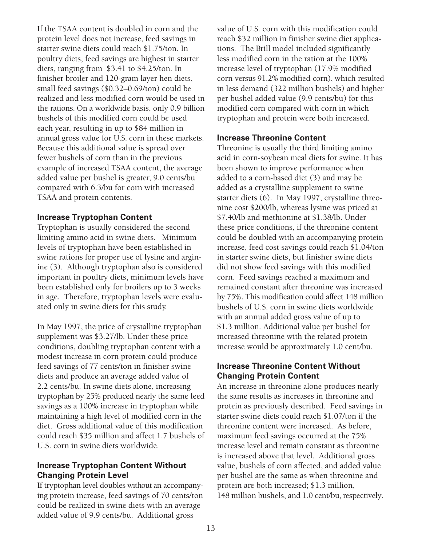If the TSAA content is doubled in corn and the protein level does not increase, feed savings in starter swine diets could reach \$1.75/ton. In poultry diets, feed savings are highest in starter diets, ranging from \$3.41 to \$4.25/ton. In finisher broiler and 120-gram layer hen diets, small feed savings (\$0.32–0.69/ton) could be realized and less modified corn would be used in the rations. On a worldwide basis, only 0.9␣ billion bushels of this modified corn could be used each year, resulting in up to \$84 million in annual gross value for U.S. corn in these markets. Because this additional value is spread over fewer bushels of corn than in the previous example of increased TSAA content, the average added value per bushel is greater, 9.0␣ cents/bu compared with 6.3/bu for corn with increased TSAA and protein contents.

#### **Increase Tryptophan Content**

Tryptophan is usually considered the second limiting amino acid in swine diets. Minimum levels of tryptophan have been established in swine rations for proper use of lysine and arginine (3). Although tryptophan also is considered important in poultry diets, minimum levels have been established only for broilers up to 3 weeks in age. Therefore, tryptophan levels were evaluated only in swine diets for this study.

In May 1997, the price of crystalline tryptophan supplement was \$3.27/lb. Under these price conditions, doubling tryptophan content with a modest increase in corn protein could produce feed savings of 77 cents/ton in finisher swine diets and produce an average added value of 2.2␣ cents/bu. In swine diets alone, increasing tryptophan by 25% produced nearly the same feed savings as a 100% increase in tryptophan while maintaining a high level of modified corn in the diet. Gross additional value of this modification could reach \$35␣ million and affect 1.7␣ bushels of U.S. corn in swine diets worldwide.

#### **Increase Tryptophan Content Without Changing Protein Level**

If tryptophan level doubles without an accompanying protein increase, feed savings of 70␣ cents/ton could be realized in swine diets with an average added value of 9.9␣ cents/bu. Additional gross

value of U.S. corn with this modification could reach \$32␣ million in finisher swine diet applications. The Brill model included significantly less modified corn in the ration at the 100% increase level of tryptophan (17.9% modified corn versus 91.2% modified corn), which resulted in less demand (322 million bushels) and higher per bushel added value (9.9␣ cents/bu) for this modified corn compared with corn in which tryptophan and protein were both increased.

#### **Increase Threonine Content**

Threonine is usually the third limiting amino acid in corn-soybean meal diets for swine. It has been shown to improve performance when added to a corn-based diet (3) and may be added as a crystalline supplement to swine starter diets (6). In May 1997, crystalline threonine cost \$200/lb, whereas lysine was priced at \$7.40/lb and methionine at \$1.38/lb. Under these price conditions, if the threonine content could be doubled with an accompanying protein increase, feed cost savings could reach \$1.04/ton in starter swine diets, but finisher swine diets did not show feed savings with this modified corn. Feed savings reached a maximum and remained constant after threonine was increased by 75%. This modification could affect 148␣ million bushels of U.S. corn in swine diets worldwide with an annual added gross value of up to \$1.3␣ million. Additional value per bushel for increased threonine with the related protein increase would be approximately 1.0 cent/bu.

#### **Increase Threonine Content Without Changing Protein Content**

An increase in threonine alone produces nearly the same results as increases in threonine and protein as previously described. Feed savings in starter swine diets could reach \$1.07/ton if the threonine content were increased. As before, maximum feed savings occurred at the 75% increase level and remain constant as threonine is increased above that level. Additional gross value, bushels of corn affected, and added value per bushel are the same as when threonine and protein are both increased; \$1.3 million, 148 million bushels, and 1.0 cent/bu, respectively.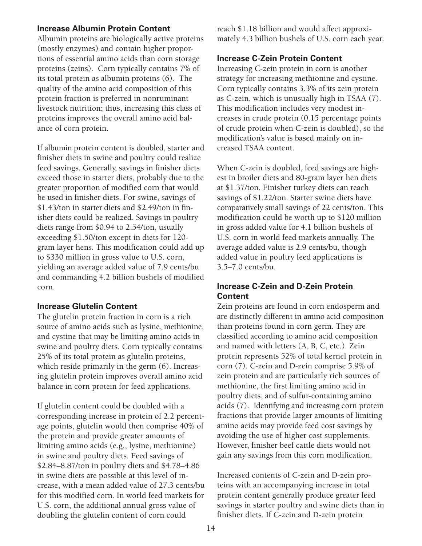#### **Increase Albumin Protein Content**

Albumin proteins are biologically active proteins (mostly enzymes) and contain higher proportions of essential amino acids than corn storage proteins (zeins). Corn typically contains 7% of its total protein as albumin proteins (6). The quality of the amino acid composition of this protein fraction is preferred in nonruminant livestock nutrition; thus, increasing this class of proteins improves the overall amino acid balance of corn protein.

If albumin protein content is doubled, starter and finisher diets in swine and poultry could realize feed savings. Generally, savings in finisher diets exceed those in starter diets, probably due to the greater proportion of modified corn that would be used in finisher diets. For swine, savings of \$1.43/ton in starter diets and \$2.49/ton in finisher diets could be realized. Savings in poultry diets range from \$0.94 to 2.54/ton, usually exceeding \$1.50/ton except in diets for 120 gram layer hens. This modification could add up to \$330 million in gross value to U.S. corn, yielding an average added value of 7.9␣ cents/bu and commanding 4.2␣ billion bushels of modified corn.

#### **Increase Glutelin Content**

The glutelin protein fraction in corn is a rich source of amino acids such as lysine, methionine, and cystine that may be limiting amino acids in swine and poultry diets. Corn typically contains 25% of its total protein as glutelin proteins, which reside primarily in the germ  $(6)$ . Increasing glutelin protein improves overall amino acid balance in corn protein for feed applications.

If glutelin content could be doubled with a corresponding increase in protein of 2.2 percentage points, glutelin would then comprise 40% of the protein and provide greater amounts of limiting amino acids (e.g., lysine, methionine) in swine and poultry diets. Feed savings of \$2.84–8.87/ton in poultry diets and \$4.78–4.86 in swine diets are possible at this level of increase, with a mean added value of 27.3␣ cents/bu for this modified corn. In world feed markets for U.S. corn, the additional annual gross value of doubling the glutelin content of corn could

reach \$1.18 billion and would affect approximately 4.3 billion bushels of U.S. corn each year.

#### **Increase C-Zein Protein Content**

Increasing C-zein protein in corn is another strategy for increasing methionine and cystine. Corn typically contains 3.3% of its zein protein as C-zein, which is unusually high in TSAA (7). This modification includes very modest increases in crude protein (0.15 percentage points of crude protein when C-zein is doubled), so the modification's value is based mainly on increased TSAA content.

When C-zein is doubled, feed savings are highest in broiler diets and 80-gram layer hen diets at \$1.37/ton. Finisher turkey diets can reach savings of \$1.22/ton. Starter swine diets have comparatively small savings of 22 cents/ton. This modification could be worth up to \$120␣ million in gross added value for 4.1 billion bushels of U.S. corn in world feed markets annually. The average added value is 2.9␣ cents/bu, though added value in poultry feed applications is 3.5–7.0␣ cents/bu.

#### **Increase C-Zein and D-Zein Protein Content**

Zein proteins are found in corn endosperm and are distinctly different in amino acid composition than proteins found in corn germ. They are classified according to amino acid composition and named with letters (A, B, C, etc.). Zein protein represents 52% of total kernel protein in corn (7). C-zein and D-zein comprise 5.9% of zein protein and are particularly rich sources of methionine, the first limiting amino acid in poultry diets, and of sulfur-containing amino acids (7). Identifying and increasing corn protein fractions that provide larger amounts of limiting amino acids may provide feed cost savings by avoiding the use of higher cost supplements. However, finisher beef cattle diets would not gain any savings from this corn modification.

Increased contents of C-zein and D-zein proteins with an accompanying increase in total protein content generally produce greater feed savings in starter poultry and swine diets than in finisher diets. If C-zein and D-zein protein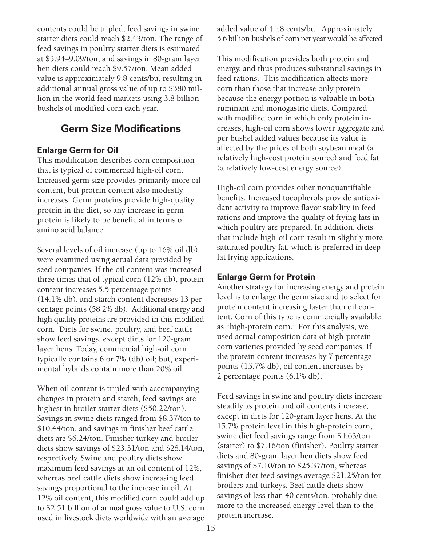contents could be tripled, feed savings in swine starter diets could reach \$2.43/ton. The range of feed savings in poultry starter diets is estimated at \$5.94–9.09/ton, and savings in 80-gram layer hen diets could reach \$9.57/ton. Mean added value is approximately 9.8 cents/bu, resulting in additional annual gross value of up to \$380␣ million in the world feed markets using 3.8␣ billion bushels of modified corn each year.

# **Germ Size Modifications**

#### **Enlarge Germ for Oil**

This modification describes corn composition that is typical of commercial high-oil corn. Increased germ size provides primarily more oil content, but protein content also modestly increases. Germ proteins provide high-quality protein in the diet, so any increase in germ protein is likely to be beneficial in terms of amino acid balance.

Several levels of oil increase (up to 16% oil db) were examined using actual data provided by seed companies. If the oil content was increased three times that of typical corn (12% db), protein content increases 5.5 percentage points (14.1%␣ db), and starch content decreases 13␣ percentage points (58.2% db). Additional energy and high quality proteins are provided in this modified corn. Diets for swine, poultry, and beef cattle show feed savings, except diets for 120-gram layer hens. Today, commercial high-oil corn typically contains 6 or 7% (db) oil; but, experimental hybrids contain more than 20% oil.

When oil content is tripled with accompanying changes in protein and starch, feed savings are highest in broiler starter diets (\$50.22/ton). Savings in swine diets ranged from \$8.37/ton to \$10.44/ton, and savings in finisher beef cattle diets are \$6.24/ton. Finisher turkey and broiler diets show savings of \$23.31/ton and \$28.14/ton, respectively. Swine and poultry diets show maximum feed savings at an oil content of 12%, whereas beef cattle diets show increasing feed savings proportional to the increase in oil. At 12% oil content, this modified corn could add up to \$2.51 billion of annual gross value to U.S. corn used in livestock diets worldwide with an average added value of 44.8 cents/bu. Approximately 5.6␣ billion bushels of corn per year would be affected.

This modification provides both protein and energy, and thus produces substantial savings in feed rations. This modification affects more corn than those that increase only protein because the energy portion is valuable in both ruminant and monogastric diets. Compared with modified corn in which only protein increases, high-oil corn shows lower aggregate and per bushel added values because its value is affected by the prices of both soybean meal (a relatively high-cost protein source) and feed fat (a relatively low-cost energy source).

High-oil corn provides other nonquantifiable benefits. Increased tocopherols provide antioxidant activity to improve flavor stability in feed rations and improve the quality of frying fats in which poultry are prepared. In addition, diets that include high-oil corn result in slightly more saturated poultry fat, which is preferred in deepfat frying applications.

#### **Enlarge Germ for Protein**

Another strategy for increasing energy and protein level is to enlarge the germ size and to select for protein content increasing faster than oil content. Corn of this type is commercially available as "high-protein corn." For this analysis, we used actual composition data of high-protein corn varieties provided by seed companies. If the protein content increases by 7 percentage points (15.7% db), oil content increases by 2␣ percentage points (6.1% db).

Feed savings in swine and poultry diets increase steadily as protein and oil contents increase, except in diets for 120-gram layer hens. At the 15.7% protein level in this high-protein corn, swine diet feed savings range from \$4.63/ton (starter) to \$7.16/ton (finisher). Poultry starter diets and 80-gram layer hen diets show feed savings of \$7.10/ton to \$25.37/ton, whereas finisher diet feed savings average \$21.25/ton for broilers and turkeys. Beef cattle diets show savings of less than 40 cents/ton, probably due more to the increased energy level than to the protein increase.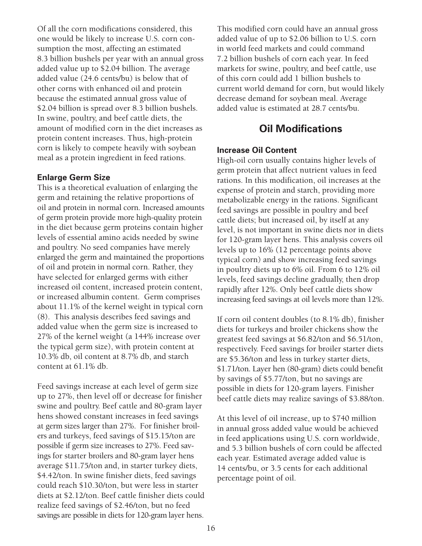Of all the corn modifications considered, this one would be likely to increase U.S. corn consumption the most, affecting an estimated 8.3␣ billion bushels per year with an annual gross added value up to \$2.04 billion. The average added value (24.6 cents/bu) is below that of other corns with enhanced oil and protein because the estimated annual gross value of \$2.04 billion is spread over 8.3 billion bushels. In swine, poultry, and beef cattle diets, the amount of modified corn in the diet increases as protein content increases. Thus, high-protein corn is likely to compete heavily with soybean meal as a protein ingredient in feed rations.

#### **Enlarge Germ Size**

This is a theoretical evaluation of enlarging the germ and retaining the relative proportions of oil and protein in normal corn. Increased amounts of germ protein provide more high-quality protein in the diet because germ proteins contain higher levels of essential amino acids needed by swine and poultry. No seed companies have merely enlarged the germ and maintained the proportions of oil and protein in normal corn. Rather, they have selected for enlarged germs with either increased oil content, increased protein content, or increased albumin content. Germ comprises about 11.1% of the kernel weight in typical corn (8). This analysis describes feed savings and added value when the germ size is increased to 27% of the kernel weight (a 144% increase over the typical germ size), with protein content at 10.3% db, oil content at 8.7% db, and starch content at 61.1% db.

Feed savings increase at each level of germ size up to 27%, then level off or decrease for finisher swine and poultry. Beef cattle and 80-gram layer hens showed constant increases in feed savings at germ sizes larger than 27%. For finisher broilers and turkeys, feed savings of \$15.15/ton are possible if germ size increases to 27%. Feed savings for starter broilers and 80-gram layer hens average \$11.75/ton and, in starter turkey diets, \$4.42/ton. In swine finisher diets, feed savings could reach \$10.30/ton, but were less in starter diets at \$2.12/ton. Beef cattle finisher diets could realize feed savings of \$2.46/ton, but no feed savings are possible in diets for 120-gram layer hens.

This modified corn could have an annual gross added value of up to \$2.06 billion to U.S. corn in world feed markets and could command 7.2␣ billion bushels of corn each year. In feed markets for swine, poultry, and beef cattle, use of this corn could add 1␣ billion bushels to current world demand for corn, but would likely decrease demand for soybean meal. Average added value is estimated at 28.7 cents/bu.

## **Oil Modifications**

#### **Increase Oil Content**

High-oil corn usually contains higher levels of germ protein that affect nutrient values in feed rations. In this modification, oil increases at the expense of protein and starch, providing more metabolizable energy in the rations. Significant feed savings are possible in poultry and beef cattle diets; but increased oil, by itself at any level, is not important in swine diets nor in diets for 120-gram layer hens. This analysis covers oil levels up to 16% (12 percentage points above typical corn) and show increasing feed savings in poultry diets up to 6% oil. From 6 to 12% oil levels, feed savings decline gradually, then drop rapidly after 12%. Only beef cattle diets show increasing feed savings at oil levels more than 12%.

If corn oil content doubles (to 8.1% db), finisher diets for turkeys and broiler chickens show the greatest feed savings at \$6.82/ton and \$6.51/ton, respectively. Feed savings for broiler starter diets are \$5.36/ton and less in turkey starter diets, \$1.71/ton. Layer hen (80-gram) diets could benefit by savings of \$5.77/ton, but no savings are possible in diets for 120-gram layers. Finisher beef cattle diets may realize savings of \$3.88/ton.

At this level of oil increase, up to \$740␣ million in annual gross added value would be achieved in feed applications using U.S. corn worldwide, and 5.3␣ billion bushels of corn could be affected each year. Estimated average added value is 14␣ cents/bu, or 3.5␣ cents for each additional percentage point of oil.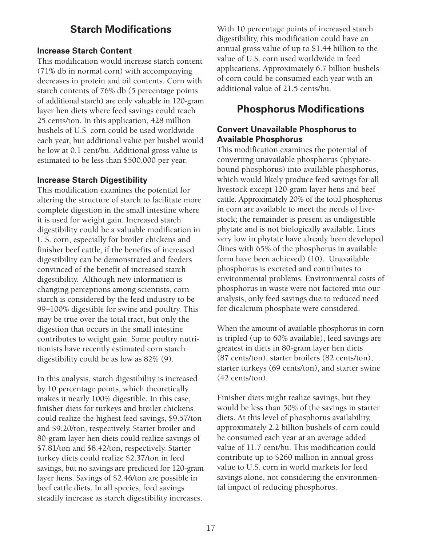## **Starch Modifications**

#### **Increase Starch Content**

This modification would increase starch content (71%␣ db in normal corn) with accompanying decreases in protein and oil contents. Corn with starch contents of 76% db (5 percentage points of additional starch) are only valuable in 120-gram layer hen diets where feed savings could reach 25␣ cents/ton. In this application, 428 million bushels of U.S. corn could be used worldwide each year, but additional value per bushel would be low at 0.1 cent/bu. Additional gross value is estimated to be less than \$500,000 per year.

#### **Increase Starch Digestibility**

This modification examines the potential for altering the structure of starch to facilitate more complete digestion in the small intestine where it is used for weight gain. Increased starch digestibility could be a valuable modification in U.S. corn, especially for broiler chickens and finisher beef cattle, if the benefits of increased digestibility can be demonstrated and feeders convinced of the benefit of increased starch digestibility. Although new information is changing perceptions among scientists, corn starch is considered by the feed industry to be 99–100% digestible for swine and poultry. This may be true over the total tract, but only the digestion that occurs in the small intestine contributes to weight gain. Some poultry nutritionists have recently estimated corn starch digestibility could be as low as 82% (9).

In this analysis, starch digestibility is increased by 10 percentage points, which theoretically makes it nearly 100% digestible. In this case, finisher diets for turkeys and broiler chickens could realize the highest feed savings, \$9.57/ton and \$9.20/ton, respectively. Starter broiler and 80-gram layer hen diets could realize savings of \$7.81/ton and \$8.42/ton, respectively. Starter turkey diets could realize \$2.37/ton in feed savings, but no savings are predicted for 120-gram layer hens. Savings of \$2.46/ton are possible in beef cattle diets. In all species, feed savings steadily increase as starch digestibility increases.

With 10 percentage points of increased starch digestibility, this modification could have an annual gross value of up to \$1.44 billion to the value of U.S. corn used worldwide in feed applications. Approximately 6.7 billion bushels of corn could be consumed each year with an additional value of 21.5 cents/bu.

## **Phosphorus Modifications**

#### **Convert Unavailable Phosphorus to Available Phosphorus**

This modification examines the potential of converting unavailable phosphorus (phytatebound phosphorus) into available phosphorus, which would likely produce feed savings for all livestock except 120-gram layer hens and beef cattle. Approximately 20% of the total phosphorus in corn are available to meet the needs of livestock; the remainder is present as undigestible phytate and is not biologically available. Lines very low in phytate have already been developed (lines with 65% of the phosphorus in available form have been achieved) (10). Unavailable phosphorus is excreted and contributes to environmental problems. Environmental costs of phosphorus in waste were not factored into our analysis, only feed savings due to reduced need for dicalcium phosphate were considered.

When the amount of available phosphorus in corn is tripled (up to 60% available), feed savings are greatest in diets in 80-gram layer hen diets (87␣ cents/ton), starter broilers (82␣ cents/ton), starter turkeys (69 cents/ton), and starter swine (42 cents/ton).

Finisher diets might realize savings, but they would be less than 50% of the savings in starter diets. At this level of phosphorus availability, approximately 2.2␣ billion bushels of corn could be consumed each year at an average added value of 11.7 cent/bu. This modification could contribute up to \$260␣ million in annual gross value to U.S. corn in world markets for feed savings alone, not considering the environmental impact of reducing phosphorus.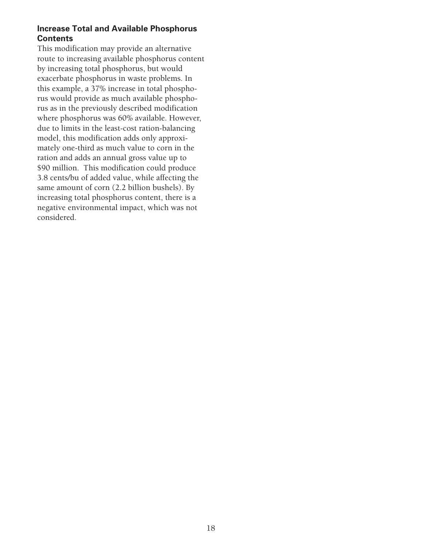#### **Increase Total and Available Phosphorus Contents**

This modification may provide an alternative route to increasing available phosphorus content by increasing total phosphorus, but would exacerbate phosphorus in waste problems. In this example, a 37% increase in total phosphorus would provide as much available phosphorus as in the previously described modification where phosphorus was 60% available. However, due to limits in the least-cost ration-balancing model, this modification adds only approximately one-third as much value to corn in the ration and adds an annual gross value up to \$90 million. This modification could produce 3.8␣ cents/bu of added value, while affecting the same amount of corn (2.2 billion bushels). By increasing total phosphorus content, there is a negative environmental impact, which was not considered.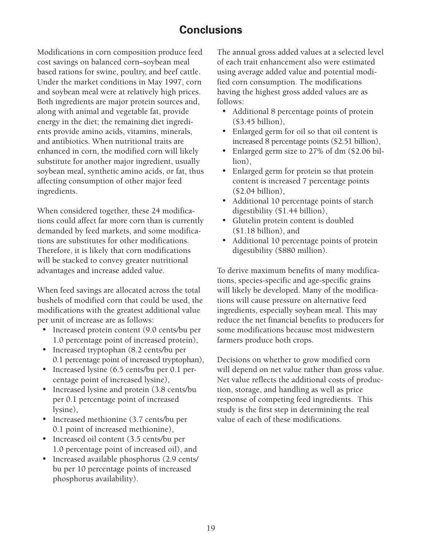# **Conclusions**

Modifications in corn composition produce feed cost savings on balanced corn–soybean meal based rations for swine, poultry, and beef cattle. Under the market conditions in May 1997, corn and soybean meal were at relatively high prices. Both ingredients are major protein sources and, along with animal and vegetable fat, provide energy in the diet; the remaining diet ingredients provide amino acids, vitamins, minerals, and antibiotics. When nutritional traits are enhanced in corn, the modified corn will likely substitute for another major ingredient, usually soybean meal, synthetic amino acids, or fat, thus affecting consumption of other major feed ingredients.

When considered together, these 24 modifications could affect far more corn than is currently demanded by feed markets, and some modifications are substitutes for other modifications. Therefore, it is likely that corn modifications will be stacked to convey greater nutritional advantages and increase added value.

When feed savings are allocated across the total bushels of modified corn that could be used, the modifications with the greatest additional value per unit of increase are as follows:

- Increased protein content (9.0 cents/bu per 1.0 percentage point of increased protein),
- Increased tryptophan (8.2 cents/bu per 0.1 percentage point of increased tryptophan),
- Increased lysine (6.5 cents/bu per 0.1 percentage point of increased lysine),
- Increased lysine and protein (3.8 cents/bu per 0.1 percentage point of increased lysine),
- Increased methionine (3.7 cents/bu per 0.1 point of increased methionine),
- Increased oil content (3.5 cents/bu per 1.0␣ percentage point of increased oil), and
- Increased available phosphorus (2.9 cents/ bu per 10 percentage points of increased phosphorus availability).

The annual gross added values at a selected level of each trait enhancement also were estimated using average added value and potential modified corn consumption. The modifications having the highest gross added values are as follows:

- Additional 8 percentage points of protein (\$3.45 billion),
- Enlarged germ for oil so that oil content is increased 8 percentage points (\$2.51 billion),
- Enlarged germ size to 27% of dm (\$2.06 billion),
- Enlarged germ for protein so that protein content is increased 7 percentage points (\$2.04 billion),
- Additional 10 percentage points of starch digestibility (\$1.44 billion),
- Glutelin protein content is doubled  $($1.18 billion)$ , and
- Additional 10 percentage points of protein digestibility (\$880 million).

To derive maximum benefits of many modifications, species-specific and age-specific grains will likely be developed. Many of the modifications will cause pressure on alternative feed ingredients, especially soybean meal. This may reduce the net financial benefits to producers for some modifications because most midwestern farmers produce both crops.

Decisions on whether to grow modified corn will depend on net value rather than gross value. Net value reflects the additional costs of production, storage, and handling as well as price response of competing feed ingredients. This study is the first step in determining the real value of each of these modifications.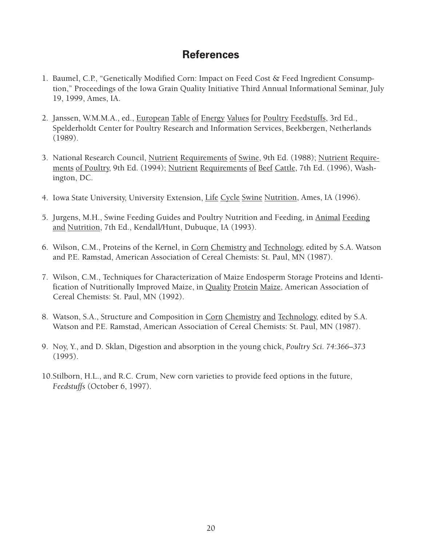# **References**

- 1. Baumel, C.P., "Genetically Modified Corn: Impact on Feed Cost & Feed Ingredient Consumption," Proceedings of the Iowa Grain Quality Initiative Third Annual Informational Seminar, July 19, 1999, Ames, IA.
- 2. Janssen, W.M.M.A., ed., European Table of Energy Values for Poultry Feedstuffs, 3rd Ed., Spelderholdt Center for Poultry Research and Information Services, Beekbergen, Netherlands (1989).
- 3. National Research Council, Nutrient Requirements of Swine, 9th Ed. (1988); Nutrient Requirements of Poultry, 9th Ed. (1994); Nutrient Requirements of Beef Cattle, 7th Ed. (1996), Washington, DC.
- 4. Iowa State University, University Extension, Life Cycle Swine Nutrition, Ames, IA (1996).
- 5. Jurgens, M.H., Swine Feeding Guides and Poultry Nutrition and Feeding, in Animal Feeding and Nutrition, 7th Ed., Kendall/Hunt, Dubuque, IA (1993).
- 6. Wilson, C.M., Proteins of the Kernel, in Corn Chemistry and Technology, edited by S.A. Watson and P.E. Ramstad, American Association of Cereal Chemists: St. Paul, MN (1987).
- 7. Wilson, C.M., Techniques for Characterization of Maize Endosperm Storage Proteins and Identification of Nutritionally Improved Maize, in Quality Protein Maize, American Association of Cereal Chemists: St. Paul, MN (1992).
- 8. Watson, S.A., Structure and Composition in Corn Chemistry and Technology, edited by S.A. Watson and P.E. Ramstad, American Association of Cereal Chemists: St. Paul, MN (1987).
- 9. Noy, Y., and D. Sklan, Digestion and absorption in the young chick, *Poultry Sci. 74:366–373* (1995).
- 10.Stilborn, H.L., and R.C. Crum, New corn varieties to provide feed options in the future, *Feedstuffs* (October 6, 1997).